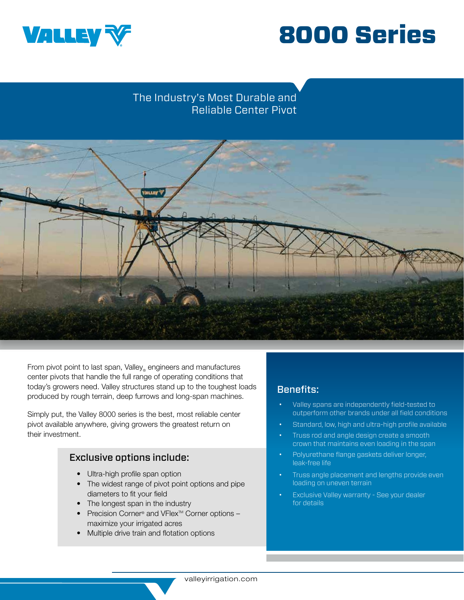



## The Industry's Most Durable and Reliable Center Pivot



From pivot point to last span, Valley engineers and manufactures center pivots that handle the full range of operating conditions that today's growers need. Valley structures stand up to the toughest loads produced by rough terrain, deep furrows and long-span machines.

Simply put, the Valley 8000 series is the best, most reliable center pivot available anywhere, giving growers the greatest return on their investment.

### Exclusive options include:

- Ultra-high profile span option
- The widest range of pivot point options and pipe diameters to fit your field
- The longest span in the industry
- **Precision Corner® and VFlex™ Corner options** maximize your irrigated acres
- Multiple drive train and flotation options

## Benefits:

- Valley spans are independently field-tested to outperform other brands under all field conditions
- Standard, low, high and ultra-high profile available
- Truss rod and angle design create a smooth crown that maintains even loading in the span
- Polyurethane flange gaskets deliver longer, leak-free life
- Truss angle placement and lengths provide even loading on uneven terrain
- Exclusive Valley warranty See your dealer for details